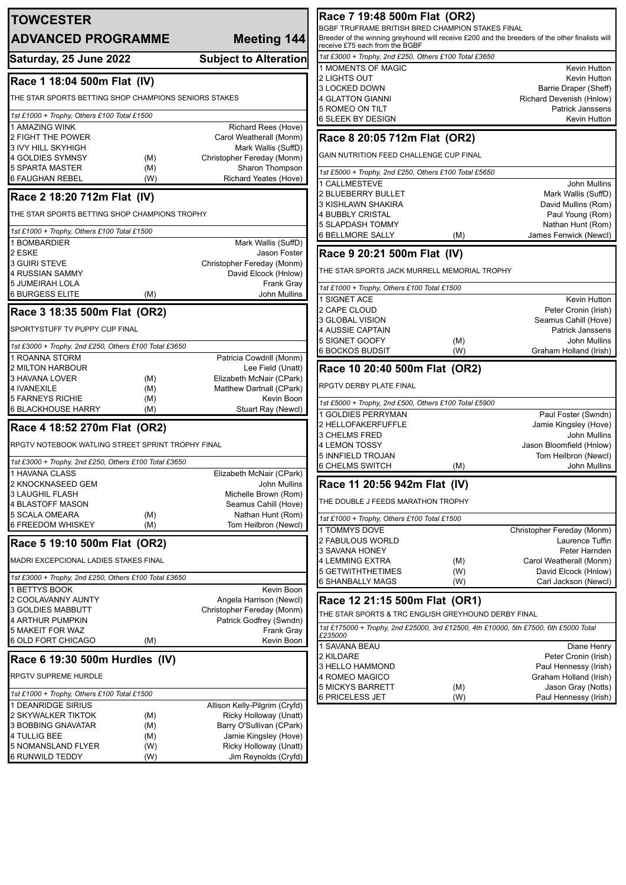| <b>TOWCESTER</b>                                                  |                                               | Race 7 19:48 500m Flat (OR2)                                                            |            |                                                                                                 |
|-------------------------------------------------------------------|-----------------------------------------------|-----------------------------------------------------------------------------------------|------------|-------------------------------------------------------------------------------------------------|
| <b>ADVANCED PROGRAMME</b>                                         | Meeting 144                                   | BGBF TRUFRAME BRITISH BRED CHAMPION STAKES FINAL                                        |            | Breeder of the winning greyhound will receive £200 and the breeders of the other finalists will |
|                                                                   |                                               | receive £75 each from the BGBF<br>1st £3000 + Trophy, 2nd £250, Others £100 Total £3650 |            |                                                                                                 |
| Saturday, 25 June 2022                                            | <b>Subject to Alteration</b>                  | 1 MOMENTS OF MAGIC                                                                      |            | Kevin Hutton                                                                                    |
| Race 1 18:04 500m Flat (IV)                                       |                                               | 2 LIGHTS OUT                                                                            |            | Kevin Hutton                                                                                    |
|                                                                   |                                               | 3 LOCKED DOWN                                                                           |            | Barrie Draper (Sheff)                                                                           |
| THE STAR SPORTS BETTING SHOP CHAMPIONS SENIORS STAKES             |                                               | 4 GLATTON GIANNI                                                                        |            | Richard Devenish (Hnlow)                                                                        |
| 1st £1000 + Trophy, Others £100 Total £1500                       |                                               | 5 ROMEO ON TILT                                                                         |            | <b>Patrick Janssens</b>                                                                         |
| 1 AMAZING WINK                                                    | Richard Rees (Hove)                           | 6 SLEEK BY DESIGN                                                                       |            | Kevin Hutton                                                                                    |
| 2 FIGHT THE POWER                                                 | Carol Weatherall (Monm)                       | Race 8 20:05 712m Flat (OR2)                                                            |            |                                                                                                 |
| 3 IVY HILL SKYHIGH                                                | Mark Wallis (SuffD)                           | GAIN NUTRITION FEED CHALLENGE CUP FINAL                                                 |            |                                                                                                 |
| 4 GOLDIES SYMNSY<br>(M)                                           | Christopher Fereday (Monm)                    |                                                                                         |            |                                                                                                 |
| <b>5 SPARTA MASTER</b><br>(M)<br><b>6 FAUGHAN REBEL</b><br>(W)    | Sharon Thompson<br>Richard Yeates (Hove)      | 1st £5000 + Trophy, 2nd £250, Others £100 Total £5650                                   |            |                                                                                                 |
|                                                                   |                                               | 1 CALLMESTEVE                                                                           |            | <b>John Mullins</b>                                                                             |
| Race 2 18:20 712m Flat (IV)                                       |                                               | 2 BLUEBERRY BULLET<br>3 KISHLAWN SHAKIRA                                                |            | Mark Wallis (SuffD)<br>David Mullins (Rom)                                                      |
| THE STAR SPORTS BETTING SHOP CHAMPIONS TROPHY                     |                                               | <b>4 BUBBLY CRISTAL</b>                                                                 |            | Paul Young (Rom)                                                                                |
|                                                                   |                                               | <b>5 SLAPDASH TOMMY</b>                                                                 |            | Nathan Hunt (Rom)                                                                               |
| 1st £1000 + Trophy, Others £100 Total £1500                       |                                               | <b>6 BELLMORE SALLY</b>                                                                 | (M)        | James Fenwick (Newcl)                                                                           |
| 1 BOMBARDIER<br>2 ESKE                                            | Mark Wallis (SuffD)<br>Jason Foster           | Race 9 20:21 500m Flat (IV)                                                             |            |                                                                                                 |
| <b>3 GUIRI STEVE</b>                                              | Christopher Fereday (Monm)                    |                                                                                         |            |                                                                                                 |
| 4 RUSSIAN SAMMY                                                   | David Elcock (Hnlow)                          | THE STAR SPORTS JACK MURRELL MEMORIAL TROPHY                                            |            |                                                                                                 |
| <b>5 JUMEIRAH LOLA</b>                                            | <b>Frank Gray</b>                             | 1st £1000 + Trophy, Others £100 Total £1500                                             |            |                                                                                                 |
| 6 BURGESS ELITE<br>(M)                                            | John Mullins                                  | 1 SIGNET ACE                                                                            |            | Kevin Hutton                                                                                    |
| Race 3 18:35 500m Flat (OR2)                                      |                                               | 2 CAPE CLOUD                                                                            |            | Peter Cronin (Irish)                                                                            |
|                                                                   |                                               | 3 GLOBAL VISION                                                                         |            | Seamus Cahill (Hove)                                                                            |
| SPORTYSTUFF TV PUPPY CUP FINAL                                    |                                               | 4 AUSSIE CAPTAIN<br>5 SIGNET GOOFY                                                      |            | <b>Patrick Janssens</b><br>John Mullins                                                         |
| 1st £3000 + Trophy, 2nd £250, Others £100 Total £3650             |                                               | <b>6 BOCKOS BUDSIT</b>                                                                  | (M)<br>(W) | Graham Holland (Irish)                                                                          |
| 1 ROANNA STORM                                                    | Patricia Cowdrill (Monm)                      |                                                                                         |            |                                                                                                 |
| 2 MILTON HARBOUR<br>3 HAVANA LOVER                                | Lee Field (Unatt)<br>Elizabeth McNair (CPark) | Race 10 20:40 500m Flat (OR2)                                                           |            |                                                                                                 |
| (M)<br>4 IVANEXILE<br>(M)                                         | Matthew Dartnall (CPark)                      | RPGTV DERBY PLATE FINAL                                                                 |            |                                                                                                 |
| <b>5 FARNEYS RICHIE</b><br>(M)                                    | Kevin Boon                                    | 1st £5000 + Trophy, 2nd £500, Others £100 Total £5900                                   |            |                                                                                                 |
| <b>6 BLACKHOUSE HARRY</b><br>(M)                                  | Stuart Ray (Newcl)                            | 1 GOLDIES PERRYMAN                                                                      |            | Paul Foster (Swndn)                                                                             |
| Race 4 18:52 270m Flat (OR2)                                      |                                               | 2 HELLOFAKERFUFFLE                                                                      |            | Jamie Kingsley (Hove)                                                                           |
|                                                                   |                                               | 3 CHELMS FRED                                                                           |            | <b>John Mullins</b>                                                                             |
| RPGTV NOTEBOOK WATLING STREET SPRINT TROPHY FINAL                 |                                               | 4 LEMON TOSSY<br>5 INNFIELD TROJAN                                                      |            | Jason Bloomfield (Hnlow)                                                                        |
| 1st £3000 + Trophy, 2nd £250, Others £100 Total £3650             |                                               | <b>6 CHELMS SWITCH</b>                                                                  | (M)        | Tom Heilbron (Newcl)<br>John Mullins                                                            |
| 1 HAVANA CLASS                                                    | Elizabeth McNair (CPark)                      |                                                                                         |            |                                                                                                 |
| 2 KNOCKNASEED GEM                                                 | John Mullins                                  | Race 11 20:56 942m Flat (IV)                                                            |            |                                                                                                 |
| <b>3 LAUGHIL FLASH</b><br>4 BLASTOFF MASON                        | Michelle Brown (Rom)<br>Seamus Cahill (Hove)  | THE DOUBLE J FEEDS MARATHON TROPHY                                                      |            |                                                                                                 |
| 5 SCALA OMEARA<br>(M)                                             | Nathan Hunt (Rom)                             |                                                                                         |            |                                                                                                 |
| 6 FREEDOM WHISKEY<br>(M)                                          | Tom Heilbron (Newcl)                          | 1st £1000 + Trophy, Others £100 Total £1500                                             |            |                                                                                                 |
|                                                                   |                                               | 1 TOMMYS DOVE<br>2 FABULOUS WORLD                                                       |            | Christopher Fereday (Monm)<br>Laurence Tuffin                                                   |
| Race 5 19:10 500m Flat (OR2)                                      |                                               | 3 SAVANA HONEY                                                                          |            | Peter Harnden                                                                                   |
| MADRI EXCEPCIONAL LADIES STAKES FINAL                             |                                               | <b>4 LEMMING EXTRA</b>                                                                  | (M)        | Carol Weatherall (Monm)                                                                         |
| 1st £3000 + Trophy, 2nd £250, Others £100 Total £3650             |                                               | 5 GETWITHTHETIMES                                                                       | (W)        | David Elcock (Hnlow)                                                                            |
| 1 BETTYS BOOK                                                     | Kevin Boon                                    | <b>6 SHANBALLY MAGS</b>                                                                 | (W)        | Carl Jackson (Newcl)                                                                            |
| 2 COOLAVANNY AUNTY                                                | Angela Harrison (Newcl)                       | Race 12 21:15 500m Flat (OR1)                                                           |            |                                                                                                 |
| 3 GOLDIES MABBUTT                                                 | Christopher Fereday (Monm)                    | THE STAR SPORTS & TRC ENGLISH GREYHOUND DERBY FINAL                                     |            |                                                                                                 |
| 4 ARTHUR PUMPKIN<br><b>5 MAKEIT FOR WAZ</b>                       | Patrick Godfrey (Swndn)<br>Frank Gray         |                                                                                         |            | 1st £175000 + Trophy, 2nd £25000, 3rd £12500, 4th £10000, 5th £7500, 6th £5000 Total            |
| 6 OLD FORT CHICAGO<br>(M)                                         | Kevin Boon                                    | £235000                                                                                 |            |                                                                                                 |
|                                                                   |                                               | 1 SAVANA BEAU                                                                           |            | Diane Henry                                                                                     |
| Race 6 19:30 500m Hurdles (IV)                                    |                                               | 2 KILDARE<br>3 HELLO HAMMOND                                                            |            | Peter Cronin (Irish)<br>Paul Hennessy (Irish)                                                   |
| RPGTV SUPREME HURDLE                                              |                                               | 4 ROMEO MAGICO                                                                          |            | Graham Holland (Irish)                                                                          |
|                                                                   |                                               | <b>5 MICKYS BARRETT</b>                                                                 | (M)        | Jason Gray (Notts)                                                                              |
| 1st £1000 + Trophy, Others £100 Total £1500<br>1 DEANRIDGE SIRIUS | Allison Kelly-Pilgrim (Cryfd)                 | <b>6 PRICELESS JET</b>                                                                  | (W)        | Paul Hennessy (Irish)                                                                           |
| 2 SKYWALKER TIKTOK<br>(M)                                         | Ricky Holloway (Unatt)                        |                                                                                         |            |                                                                                                 |
| 3 BOBBING GNAVATAR<br>(M)                                         | Barry O'Sullivan (CPark)                      |                                                                                         |            |                                                                                                 |
| 4 TULLIG BEE<br>(M)                                               | Jamie Kingsley (Hove)                         |                                                                                         |            |                                                                                                 |
| 5 NOMANSLAND FLYER<br>(W)                                         | Ricky Holloway (Unatt)                        |                                                                                         |            |                                                                                                 |
| <b>6 RUNWILD TEDDY</b><br>(W)                                     | Jim Reynolds (Cryfd)                          |                                                                                         |            |                                                                                                 |